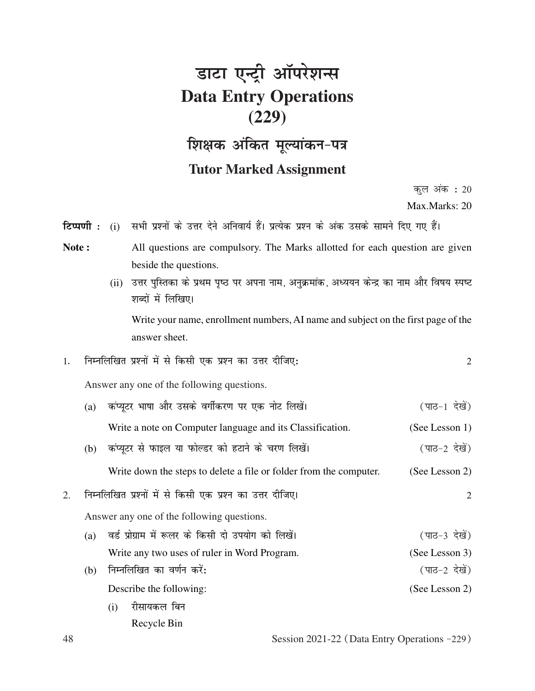## डाटा एन्ट्री ऑपरेशन्स **Data Entry Operations (229) शिक्षक अंकित मूल्यांकन-पत्र**

## **Tutor Marked Assignment**

कल $\frac{1}{20}$  अंक $\cdot$  20

Max.Marks: 20

- **टिप्पणी :** (i) सभी प्रश्नों के उत्तर देने अनिवार्य हैं। प्रत्येक प्रश्न के अंक उसके सामने दिए गए हैं।
- Note : All questions are compulsory. The Marks allotted for each question are given beside the questions.
	- (ii) उत्तर पुस्तिका के प्रथम पृष्ठ पर अपना नाम, अनुक्रमांक, अध्ययन केन्द्र का नाम और विषय स्पष्ट शब्दों में लिखिए।

Write your name, enrollment numbers, AI name and subject on the first page of the answer sheet.

1- fuEufyf[kr iz'uksa esa ls fdlh ,d iz'u dk mÙkj nhft,% 2

Answer any one of the following questions.

|                                                                 | (a) | कंप्यूटर भाषा और उसके वर्गीकरण पर एक नोट लिखें।                    | (पाठ-1 देखें)  |  |
|-----------------------------------------------------------------|-----|--------------------------------------------------------------------|----------------|--|
|                                                                 |     | Write a note on Computer language and its Classification.          | (See Lesson 1) |  |
|                                                                 | (b) | कंप्यूटर से फाइल या फोल्डर को हटाने के चरण लिखें।                  | (पाठ-2 देखें)  |  |
|                                                                 |     | Write down the steps to delete a file or folder from the computer. | (See Lesson 2) |  |
| निम्नलिखित प्रश्नों में से किसी एक प्रश्न का उत्तर दीजिए।<br>2. |     |                                                                    |                |  |
|                                                                 |     | Answer any one of the following questions.                         |                |  |
|                                                                 | (a) | वर्ड प्रोग्राम में रूलर के किसी दो उपयोग को लिखें।                 | (पाठ-3 देखें)  |  |
|                                                                 |     | Write any two uses of ruler in Word Program.                       | (See Lesson 3) |  |
|                                                                 | (b) | निम्नलिखित का वर्णन करें:                                          | (पाठ-2 देखें)  |  |
|                                                                 |     | Describe the following:                                            | (See Lesson 2) |  |
|                                                                 |     | रीसायकल बिन<br>(i)                                                 |                |  |
|                                                                 |     | Recycle Bin                                                        |                |  |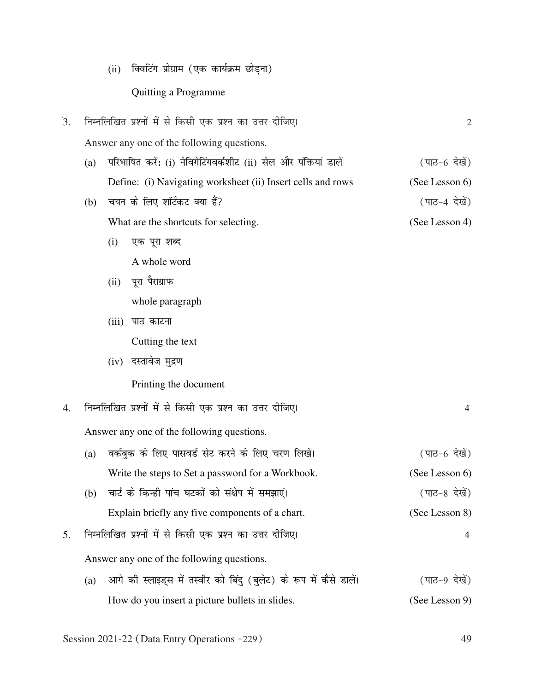(ii) क्विटिंग प्रोग्राम (एक कार्यक्रम छोड़ना)

## Quitting a Programme

| $\overline{3}$ . |                                            | निम्नलिखित प्रश्नों में से किसी एक प्रश्न का उत्तर दीजिए। | $\overline{2}$                                                     |                |  |  |
|------------------|--------------------------------------------|-----------------------------------------------------------|--------------------------------------------------------------------|----------------|--|--|
|                  |                                            | Answer any one of the following questions.                |                                                                    |                |  |  |
|                  | (a)                                        |                                                           | परिभाषित करें: (i) नेविगेटिंगवर्कशीट (ii) सेल और पंक्तियां डालें   | (पाठ-6 देखें)  |  |  |
|                  |                                            |                                                           | Define: (i) Navigating worksheet (ii) Insert cells and rows        | (See Lesson 6) |  |  |
|                  | (b)                                        |                                                           | चयन के लिए शॉर्टकट क्या हैं?                                       | (पाठ-4 देखें)  |  |  |
|                  |                                            |                                                           | What are the shortcuts for selecting.                              | (See Lesson 4) |  |  |
|                  |                                            | (i)                                                       | एक पूरा शब्द                                                       |                |  |  |
|                  |                                            |                                                           | A whole word                                                       |                |  |  |
|                  |                                            | (ii)                                                      | पूरा पैराग्राफ                                                     |                |  |  |
|                  |                                            |                                                           | whole paragraph                                                    |                |  |  |
|                  |                                            | (iii)                                                     | पाठ काटना                                                          |                |  |  |
|                  |                                            |                                                           | Cutting the text                                                   |                |  |  |
|                  |                                            |                                                           | (iv) दस्तावेज मुद्रण                                               |                |  |  |
|                  |                                            |                                                           | Printing the document                                              |                |  |  |
| 4.               |                                            | निम्नलिखित प्रश्नों में से किसी एक प्रश्न का उत्तर दीजिए। | $\overline{4}$                                                     |                |  |  |
|                  |                                            | Answer any one of the following questions.                |                                                                    |                |  |  |
|                  | (a)                                        |                                                           | वर्कबुक के लिए पासवर्ड सेट करने के लिए चरण लिखें।                  | (पाठ-6 देखें)  |  |  |
|                  |                                            |                                                           | Write the steps to Set a password for a Workbook.                  | (See Lesson 6) |  |  |
|                  | (b)                                        |                                                           | चार्ट के किन्ही पांच घटकों को संक्षेप में समझाएं।                  | (पाठ-8 देखें)  |  |  |
|                  |                                            |                                                           | Explain briefly any five components of a chart.                    | (See Lesson 8) |  |  |
| 5.               |                                            | निम्नलिखित प्रश्नों में से किसी एक प्रश्न का उत्तर दीजिए। | 4                                                                  |                |  |  |
|                  | Answer any one of the following questions. |                                                           |                                                                    |                |  |  |
|                  | (a)                                        |                                                           | आगे की स्लाइड्स में तस्वीर को बिंदु (बुलेट) के रूप में कैसे डालें। | (पाठ-9 देखें)  |  |  |
|                  |                                            |                                                           | How do you insert a picture bullets in slides.                     | (See Lesson 9) |  |  |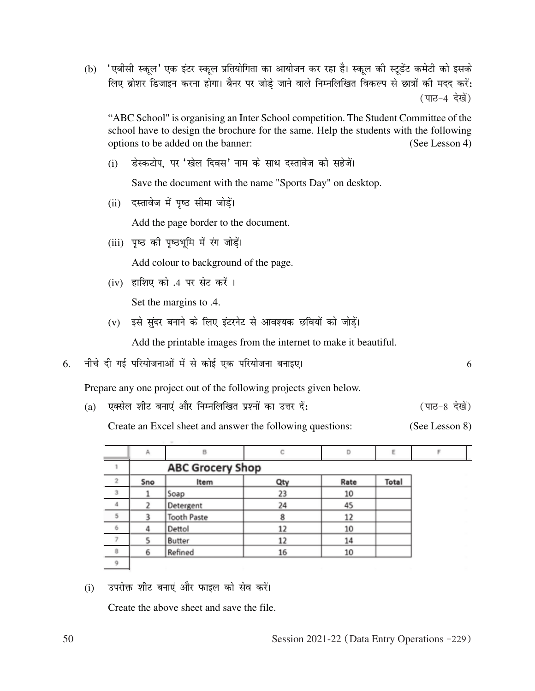(b) 'एबीसी स्कूल' एक इंटर स्कूल प्रतियोगिता का आयोजन कर रहा है। स्कूल की स्टूडेंट कमेटी को इसके लिए ब्रोशर डिजाइन करना होगा। बैनर पर जोड़े जाने वाले निम्नलिखित विकल्प से छात्रों की मदद करें: (पाठ-4 देखें)

"ABC School" is organising an Inter School competition. The Student Committee of the school have to design the brochure for the same. Help the students with the following options to be added on the banner: (See Lesson 4)

(i) डेस्कटोप, पर 'खेल दिवस' नाम के साथ दस्तावेज को सहेजें।

Save the document with the name "Sports Day" on desktop.

(ii) दस्तावेज में पृष्ठ सीमा जोड़ें।

Add the page border to the document.

(iii) पृष्ठ की पृष्ठभूमि में रंग जोडें।

Add colour to background of the page.

(iv) हाशिए को .4 पर सेट करें ।

Set the margins to .4.

(v) इसे सुंदर बनाने के लिए इंटरनेट से आवश्यक छवियों को जोडें।

Add the printable images from the internet to make it beautiful.

6. uhps nh xbZ ifj;kstukvksa esa ls dksbZ ,d ifj;kstuk cukb,A 6

Prepare any one project out of the following projects given below.

(a) एक्सेल शीट बनाएं और निम्नलिखित प्रश्नों का उत्तर दें: (पाठ-8 देखें)

Create an Excel sheet and answer the following questions: (See Lesson 8)

|                | Α                       | B                  | с   | D    | E     |  |  |  |
|----------------|-------------------------|--------------------|-----|------|-------|--|--|--|
|                | <b>ABC Grocery Shop</b> |                    |     |      |       |  |  |  |
| $\overline{2}$ | Sno                     | Item               | Qty | Rate | Total |  |  |  |
| $_{3}$         |                         | Soap               | 23  | 10   |       |  |  |  |
| $\sqrt{4}$     |                         | Detergent          | 24  | 45   |       |  |  |  |
| $\overline{5}$ |                         | <b>Tooth Paste</b> | 8   | 12   |       |  |  |  |
| 6              |                         | Dettol             | 12  | 10   |       |  |  |  |
| $\overline{7}$ |                         | Butter             | 12  | 14   |       |  |  |  |
| $^{\rm 8}$     | 6                       | Refined            | 16  | 10   |       |  |  |  |
| 9              |                         |                    |     |      |       |  |  |  |

(i) जयरोक्त शीट बनाएं और फाइल को सेव करें।

Create the above sheet and save the file.